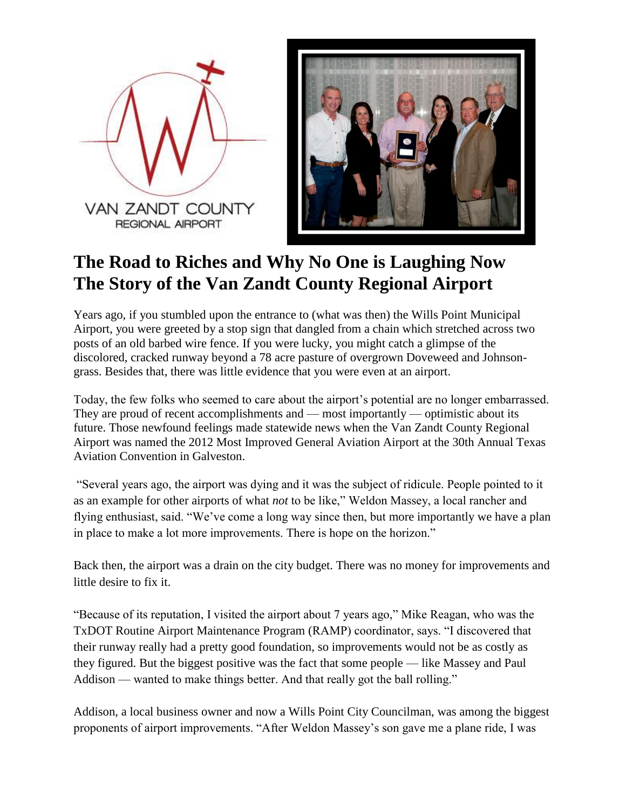



## **The Road to Riches and Why No One is Laughing Now The Story of the Van Zandt County Regional Airport**

Years ago, if you stumbled upon the entrance to (what was then) the Wills Point Municipal Airport, you were greeted by a stop sign that dangled from a chain which stretched across two posts of an old barbed wire fence. If you were lucky, you might catch a glimpse of the discolored, cracked runway beyond a 78 acre pasture of overgrown Doveweed and Johnsongrass. Besides that, there was little evidence that you were even at an airport.

Today, the few folks who seemed to care about the airport's potential are no longer embarrassed. They are proud of recent accomplishments and — most importantly — optimistic about its future. Those newfound feelings made statewide news when the Van Zandt County Regional Airport was named the 2012 Most Improved General Aviation Airport at the 30th Annual Texas Aviation Convention in Galveston.

"Several years ago, the airport was dying and it was the subject of ridicule. People pointed to it as an example for other airports of what *not* to be like," Weldon Massey, a local rancher and flying enthusiast, said. "We've come a long way since then, but more importantly we have a plan in place to make a lot more improvements. There is hope on the horizon."

Back then, the airport was a drain on the city budget. There was no money for improvements and little desire to fix it.

"Because of its reputation, I visited the airport about 7 years ago," Mike Reagan, who was the TxDOT Routine Airport Maintenance Program (RAMP) coordinator, says. "I discovered that their runway really had a pretty good foundation, so improvements would not be as costly as they figured. But the biggest positive was the fact that some people — like Massey and Paul Addison — wanted to make things better. And that really got the ball rolling."

Addison, a local business owner and now a Wills Point City Councilman, was among the biggest proponents of airport improvements. "After Weldon Massey's son gave me a plane ride, I was